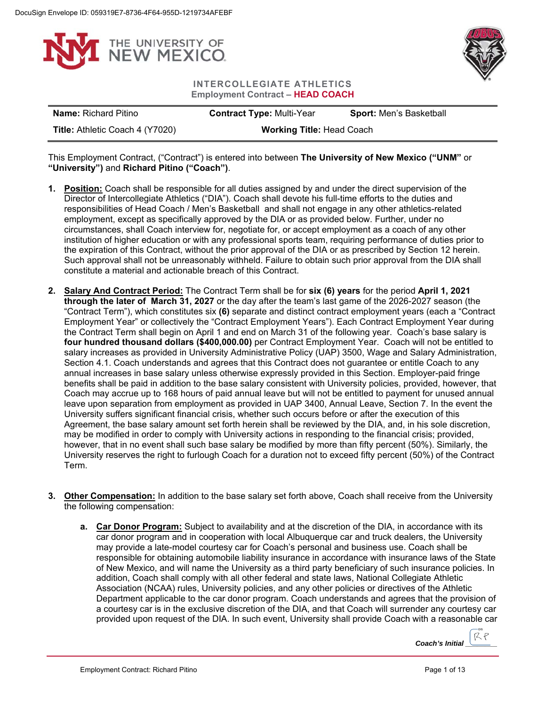



**INTERCOLLEGIATE ATHLETICS Employment Contract – HEAD COACH**

| <b>Name:</b> Richard Pitino            | <b>Contract Type: Multi-Year</b> | <b>Sport:</b> Men's Basketball |
|----------------------------------------|----------------------------------|--------------------------------|
| <b>Title: Athletic Coach 4 (Y7020)</b> | <b>Working Title: Head Coach</b> |                                |

This Employment Contract, ("Contract") is entered into between **The University of New Mexico ("UNM"** or **"University")** and **Richard Pitino ("Coach")**.

- **1. Position:** Coach shall be responsible for all duties assigned by and under the direct supervision of the Director of Intercollegiate Athletics ("DIA"). Coach shall devote his full-time efforts to the duties and responsibilities of Head Coach / Men's Basketball and shall not engage in any other athletics-related employment, except as specifically approved by the DIA or as provided below. Further, under no circumstances, shall Coach interview for, negotiate for, or accept employment as a coach of any other institution of higher education or with any professional sports team, requiring performance of duties prior to the expiration of this Contract, without the prior approval of the DIA or as prescribed by Section 12 herein. Such approval shall not be unreasonably withheld. Failure to obtain such prior approval from the DIA shall constitute a material and actionable breach of this Contract.
- **2. Salary And Contract Period:** The Contract Term shall be for **six (6) years** for the period **April 1, 2021 through the later of March 31, 2027** or the day after the team's last game of the 2026-2027 season (the "Contract Term"), which constitutes six **(6)** separate and distinct contract employment years (each a "Contract Employment Year" or collectively the "Contract Employment Years"). Each Contract Employment Year during the Contract Term shall begin on April 1 and end on March 31 of the following year. Coach's base salary is **four hundred thousand dollars (\$400,000.00)** per Contract Employment Year. Coach will not be entitled to salary increases as provided in University Administrative Policy (UAP) 3500, Wage and Salary Administration, Section 4.1. Coach understands and agrees that this Contract does not guarantee or entitle Coach to any annual increases in base salary unless otherwise expressly provided in this Section. Employer-paid fringe benefits shall be paid in addition to the base salary consistent with University policies, provided, however, that Coach may accrue up to 168 hours of paid annual leave but will not be entitled to payment for unused annual leave upon separation from employment as provided in UAP 3400, Annual Leave, Section 7. In the event the University suffers significant financial crisis, whether such occurs before or after the execution of this Agreement, the base salary amount set forth herein shall be reviewed by the DIA, and, in his sole discretion, may be modified in order to comply with University actions in responding to the financial crisis; provided, however, that in no event shall such base salary be modified by more than fifty percent (50%). Similarly, the University reserves the right to furlough Coach for a duration not to exceed fifty percent (50%) of the Contract Term.
- **3. Other Compensation:** In addition to the base salary set forth above, Coach shall receive from the University the following compensation:
	- **a. Car Donor Program:** Subject to availability and at the discretion of the DIA, in accordance with its car donor program and in cooperation with local Albuquerque car and truck dealers, the University may provide a late-model courtesy car for Coach's personal and business use. Coach shall be responsible for obtaining automobile liability insurance in accordance with insurance laws of the State of New Mexico, and will name the University as a third party beneficiary of such insurance policies. In addition, Coach shall comply with all other federal and state laws, National Collegiate Athletic Association (NCAA) rules, University policies, and any other policies or directives of the Athletic Department applicable to the car donor program. Coach understands and agrees that the provision of a courtesy car is in the exclusive discretion of the DIA, and that Coach will surrender any courtesy car provided upon request of the DIA. In such event, University shall provide Coach with a reasonable car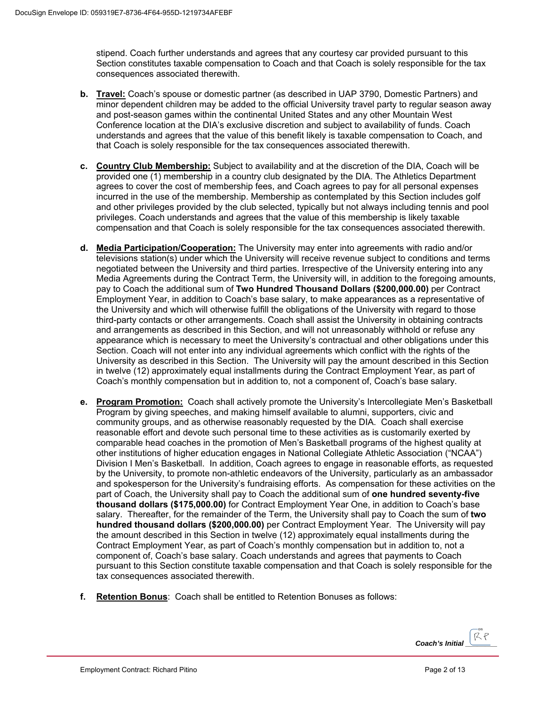stipend. Coach further understands and agrees that any courtesy car provided pursuant to this Section constitutes taxable compensation to Coach and that Coach is solely responsible for the tax consequences associated therewith.

- **b. Travel:** Coach's spouse or domestic partner (as described in UAP 3790, Domestic Partners) and minor dependent children may be added to the official University travel party to regular season away and post-season games within the continental United States and any other Mountain West Conference location at the DIA's exclusive discretion and subject to availability of funds. Coach understands and agrees that the value of this benefit likely is taxable compensation to Coach, and that Coach is solely responsible for the tax consequences associated therewith.
- **c. Country Club Membership:** Subject to availability and at the discretion of the DIA, Coach will be provided one (1) membership in a country club designated by the DIA. The Athletics Department agrees to cover the cost of membership fees, and Coach agrees to pay for all personal expenses incurred in the use of the membership. Membership as contemplated by this Section includes golf and other privileges provided by the club selected, typically but not always including tennis and pool privileges. Coach understands and agrees that the value of this membership is likely taxable compensation and that Coach is solely responsible for the tax consequences associated therewith.
- **d. Media Participation/Cooperation:** The University may enter into agreements with radio and/or televisions station(s) under which the University will receive revenue subject to conditions and terms negotiated between the University and third parties. Irrespective of the University entering into any Media Agreements during the Contract Term, the University will, in addition to the foregoing amounts, pay to Coach the additional sum of **Two Hundred Thousand Dollars (\$200,000.00)** per Contract Employment Year, in addition to Coach's base salary, to make appearances as a representative of the University and which will otherwise fulfill the obligations of the University with regard to those third-party contacts or other arrangements. Coach shall assist the University in obtaining contracts and arrangements as described in this Section, and will not unreasonably withhold or refuse any appearance which is necessary to meet the University's contractual and other obligations under this Section. Coach will not enter into any individual agreements which conflict with the rights of the University as described in this Section. The University will pay the amount described in this Section in twelve (12) approximately equal installments during the Contract Employment Year, as part of Coach's monthly compensation but in addition to, not a component of, Coach's base salary.
- **e. Program Promotion:** Coach shall actively promote the University's Intercollegiate Men's Basketball Program by giving speeches, and making himself available to alumni, supporters, civic and community groups, and as otherwise reasonably requested by the DIA. Coach shall exercise reasonable effort and devote such personal time to these activities as is customarily exerted by comparable head coaches in the promotion of Men's Basketball programs of the highest quality at other institutions of higher education engages in National Collegiate Athletic Association ("NCAA") Division I Men's Basketball. In addition, Coach agrees to engage in reasonable efforts, as requested by the University, to promote non-athletic endeavors of the University, particularly as an ambassador and spokesperson for the University's fundraising efforts. As compensation for these activities on the part of Coach, the University shall pay to Coach the additional sum of **one hundred seventy-five thousand dollars (\$175,000.00)** for Contract Employment Year One, in addition to Coach's base salary. Thereafter, for the remainder of the Term, the University shall pay to Coach the sum of **two hundred thousand dollars (\$200,000.00)** per Contract Employment Year. The University will pay the amount described in this Section in twelve (12) approximately equal installments during the Contract Employment Year, as part of Coach's monthly compensation but in addition to, not a component of, Coach's base salary. Coach understands and agrees that payments to Coach pursuant to this Section constitute taxable compensation and that Coach is solely responsible for the tax consequences associated therewith.
- **f. Retention Bonus**: Coach shall be entitled to Retention Bonuses as follows:

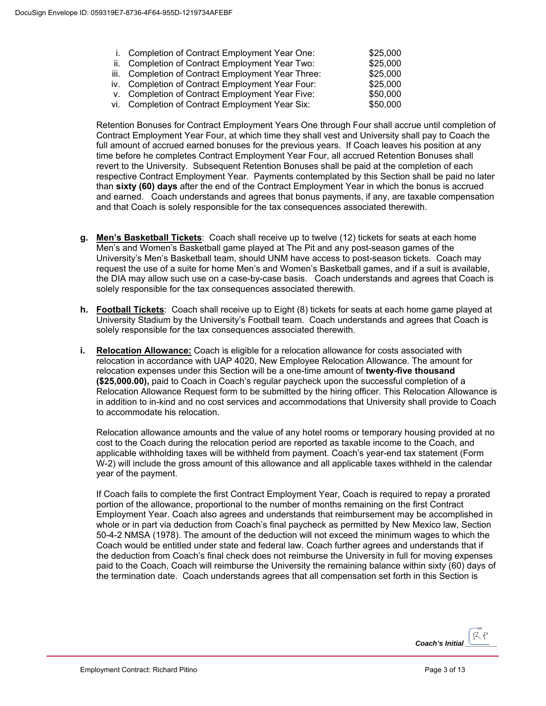- i. Completion of Contract Employment Year One: \$25,000
- ii. Completion of Contract Employment Year Two: \$25,000<br>iii. Completion of Contract Employment Year Three: \$25,000
- iii. Completion of Contract Employment Year Three: \$25,000<br>iv. Completion of Contract Employment Year Four: \$25,000
- iv. Completion of Contract Employment Year Four:
- v. Completion of Contract Employment Year Five: \$50,000
- vi. Completion of Contract Employment Year Six: \$50,000

Retention Bonuses for Contract Employment Years One through Four shall accrue until completion of Contract Employment Year Four, at which time they shall vest and University shall pay to Coach the full amount of accrued earned bonuses for the previous years. If Coach leaves his position at any time before he completes Contract Employment Year Four, all accrued Retention Bonuses shall revert to the University. Subsequent Retention Bonuses shall be paid at the completion of each respective Contract Employment Year. Payments contemplated by this Section shall be paid no later than **sixty (60) days** after the end of the Contract Employment Year in which the bonus is accrued and earned. Coach understands and agrees that bonus payments, if any, are taxable compensation and that Coach is solely responsible for the tax consequences associated therewith.

- **g. Men's Basketball Tickets**: Coach shall receive up to twelve (12) tickets for seats at each home Men's and Women's Basketball game played at The Pit and any post-season games of the University's Men's Basketball team, should UNM have access to post-season tickets. Coach may request the use of a suite for home Men's and Women's Basketball games, and if a suit is available, the DIA may allow such use on a case-by-case basis. Coach understands and agrees that Coach is solely responsible for the tax consequences associated therewith.
- **h. Football Tickets**: Coach shall receive up to Eight (8) tickets for seats at each home game played at University Stadium by the University's Football team. Coach understands and agrees that Coach is solely responsible for the tax consequences associated therewith.
- **i.** Relocation Allowance: Coach is eligible for a relocation allowance for costs associated with relocation in accordance with UAP 4020, New Employee Relocation Allowance. The amount for relocation expenses under this Section will be a one-time amount of **twenty-five thousand (\$25,000.00),** paid to Coach in Coach's regular paycheck upon the successful completion of a Relocation Allowance Request form to be submitted by the hiring officer. This Relocation Allowance is in addition to in-kind and no cost services and accommodations that University shall provide to Coach to accommodate his relocation.

Relocation allowance amounts and the value of any hotel rooms or temporary housing provided at no cost to the Coach during the relocation period are reported as taxable income to the Coach, and applicable withholding taxes will be withheld from payment. Coach's year-end tax statement (Form W-2) will include the gross amount of this allowance and all applicable taxes withheld in the calendar year of the payment.

If Coach fails to complete the first Contract Employment Year, Coach is required to repay a prorated portion of the allowance, proportional to the number of months remaining on the first Contract Employment Year. Coach also agrees and understands that reimbursement may be accomplished in whole or in part via deduction from Coach's final paycheck as permitted by New Mexico law, Section 50-4-2 NMSA (1978). The amount of the deduction will not exceed the minimum wages to which the Coach would be entitled under state and federal law. Coach further agrees and understands that if the deduction from Coach's final check does not reimburse the University in full for moving expenses paid to the Coach, Coach will reimburse the University the remaining balance within sixty (60) days of the termination date. Coach understands agrees that all compensation set forth in this Section is

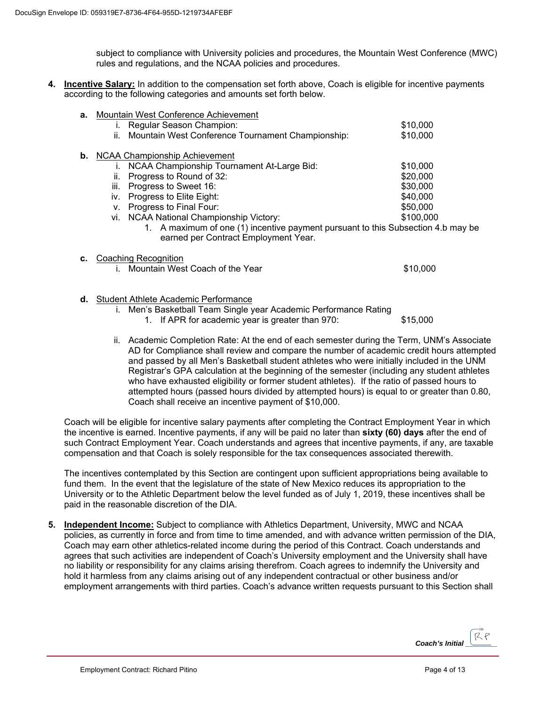subject to compliance with University policies and procedures, the Mountain West Conference (MWC) rules and regulations, and the NCAA policies and procedures.

**4. Incentive Salary:** In addition to the compensation set forth above, Coach is eligible for incentive payments according to the following categories and amounts set forth below.

| а. | Mountain West Conference Achievement                                             |           |
|----|----------------------------------------------------------------------------------|-----------|
|    | Regular Season Champion:<br>Ι.                                                   | \$10,000  |
|    | Mountain West Conference Tournament Championship:<br>н.                          | \$10,000  |
| b. | <b>NCAA Championship Achievement</b>                                             |           |
|    | NCAA Championship Tournament At-Large Bid:                                       | \$10,000  |
|    | Progress to Round of 32:<br>ii.                                                  | \$20,000  |
|    | iii.<br>Progress to Sweet 16:                                                    | \$30,000  |
|    | iv. Progress to Elite Eight:                                                     | \$40,000  |
|    | Progress to Final Four:<br>V.                                                    | \$50,000  |
|    | <b>NCAA National Championship Victory:</b><br>vi.                                | \$100,000 |
|    | 1. A maximum of one (1) incentive payment pursuant to this Subsection 4.b may be |           |
|    | earned per Contract Employment Year.                                             |           |
| с. | Coaching Recognition                                                             |           |
|    | Mountain West Coach of the Year                                                  | \$10,000  |
|    |                                                                                  |           |

**d.** Student Athlete Academic Performance

i. Men's Basketball Team Single year Academic Performance Rating

1. If APR for academic year is greater than 970: \$15,000

ii. Academic Completion Rate: At the end of each semester during the Term, UNM's Associate AD for Compliance shall review and compare the number of academic credit hours attempted and passed by all Men's Basketball student athletes who were initially included in the UNM Registrar's GPA calculation at the beginning of the semester (including any student athletes who have exhausted eligibility or former student athletes). If the ratio of passed hours to attempted hours (passed hours divided by attempted hours) is equal to or greater than 0.80, Coach shall receive an incentive payment of \$10,000.

Coach will be eligible for incentive salary payments after completing the Contract Employment Year in which the incentive is earned. Incentive payments, if any will be paid no later than **sixty (60) days** after the end of such Contract Employment Year. Coach understands and agrees that incentive payments, if any, are taxable compensation and that Coach is solely responsible for the tax consequences associated therewith.

The incentives contemplated by this Section are contingent upon sufficient appropriations being available to fund them. In the event that the legislature of the state of New Mexico reduces its appropriation to the University or to the Athletic Department below the level funded as of July 1, 2019, these incentives shall be paid in the reasonable discretion of the DIA.

**5. Independent Income:** Subject to compliance with Athletics Department, University, MWC and NCAA policies, as currently in force and from time to time amended, and with advance written permission of the DIA, Coach may earn other athletics-related income during the period of this Contract. Coach understands and agrees that such activities are independent of Coach's University employment and the University shall have no liability or responsibility for any claims arising therefrom. Coach agrees to indemnify the University and hold it harmless from any claims arising out of any independent contractual or other business and/or employment arrangements with third parties. Coach's advance written requests pursuant to this Section shall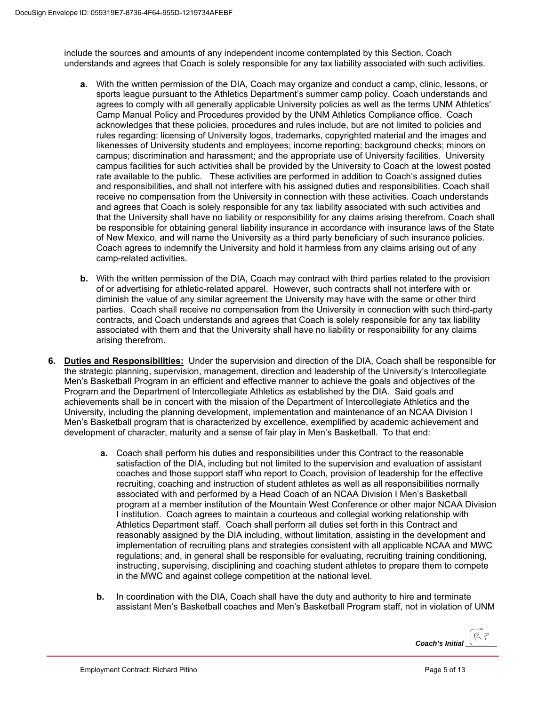include the sources and amounts of any independent income contemplated by this Section. Coach understands and agrees that Coach is solely responsible for any tax liability associated with such activities.

- **a.** With the written permission of the DIA, Coach may organize and conduct a camp, clinic, lessons, or sports league pursuant to the Athletics Department's summer camp policy. Coach understands and agrees to comply with all generally applicable University policies as well as the terms UNM Athletics' Camp Manual Policy and Procedures provided by the UNM Athletics Compliance office. Coach acknowledges that these policies, procedures and rules include, but are not limited to policies and rules regarding: licensing of University logos, trademarks, copyrighted material and the images and likenesses of University students and employees; income reporting; background checks; minors on campus; discrimination and harassment; and the appropriate use of University facilities. University campus facilities for such activities shall be provided by the University to Coach at the lowest posted rate available to the public. These activities are performed in addition to Coach's assigned duties and responsibilities, and shall not interfere with his assigned duties and responsibilities. Coach shall receive no compensation from the University in connection with these activities. Coach understands and agrees that Coach is solely responsible for any tax liability associated with such activities and that the University shall have no liability or responsibility for any claims arising therefrom. Coach shall be responsible for obtaining general liability insurance in accordance with insurance laws of the State of New Mexico, and will name the University as a third party beneficiary of such insurance policies. Coach agrees to indemnify the University and hold it harmless from any claims arising out of any camp-related activities.
- **b.** With the written permission of the DIA, Coach may contract with third parties related to the provision of or advertising for athletic-related apparel. However, such contracts shall not interfere with or diminish the value of any similar agreement the University may have with the same or other third parties. Coach shall receive no compensation from the University in connection with such third-party contracts, and Coach understands and agrees that Coach is solely responsible for any tax liability associated with them and that the University shall have no liability or responsibility for any claims arising therefrom.
- **6. Duties and Responsibilities:** Under the supervision and direction of the DIA, Coach shall be responsible for the strategic planning, supervision, management, direction and leadership of the University's Intercollegiate Men's Basketball Program in an efficient and effective manner to achieve the goals and objectives of the Program and the Department of Intercollegiate Athletics as established by the DIA. Said goals and achievements shall be in concert with the mission of the Department of Intercollegiate Athletics and the University, including the planning development, implementation and maintenance of an NCAA Division I Men's Basketball program that is characterized by excellence, exemplified by academic achievement and development of character, maturity and a sense of fair play in Men's Basketball. To that end:
	- **a.** Coach shall perform his duties and responsibilities under this Contract to the reasonable satisfaction of the DIA, including but not limited to the supervision and evaluation of assistant coaches and those support staff who report to Coach, provision of leadership for the effective recruiting, coaching and instruction of student athletes as well as all responsibilities normally associated with and performed by a Head Coach of an NCAA Division I Men's Basketball program at a member institution of the Mountain West Conference or other major NCAA Division I institution. Coach agrees to maintain a courteous and collegial working relationship with Athletics Department staff. Coach shall perform all duties set forth in this Contract and reasonably assigned by the DIA including, without limitation, assisting in the development and implementation of recruiting plans and strategies consistent with all applicable NCAA and MWC regulations; and, in general shall be responsible for evaluating, recruiting training conditioning, instructing, supervising, disciplining and coaching student athletes to prepare them to compete in the MWC and against college competition at the national level.
	- **b.** In coordination with the DIA, Coach shall have the duty and authority to hire and terminate assistant Men's Basketball coaches and Men's Basketball Program staff, not in violation of UNM

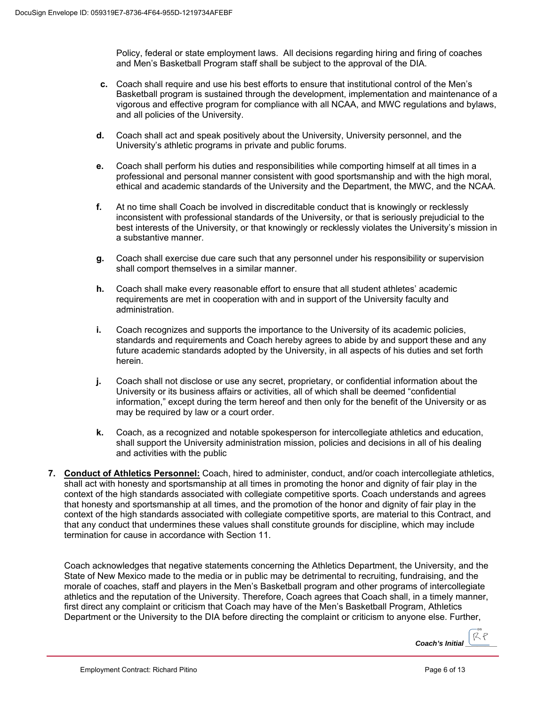Policy, federal or state employment laws. All decisions regarding hiring and firing of coaches and Men's Basketball Program staff shall be subject to the approval of the DIA.

- **c.** Coach shall require and use his best efforts to ensure that institutional control of the Men's Basketball program is sustained through the development, implementation and maintenance of a vigorous and effective program for compliance with all NCAA, and MWC regulations and bylaws, and all policies of the University.
- **d.** Coach shall act and speak positively about the University, University personnel, and the University's athletic programs in private and public forums.
- **e.** Coach shall perform his duties and responsibilities while comporting himself at all times in a professional and personal manner consistent with good sportsmanship and with the high moral, ethical and academic standards of the University and the Department, the MWC, and the NCAA.
- **f.** At no time shall Coach be involved in discreditable conduct that is knowingly or recklessly inconsistent with professional standards of the University, or that is seriously prejudicial to the best interests of the University, or that knowingly or recklessly violates the University's mission in a substantive manner.
- **g.** Coach shall exercise due care such that any personnel under his responsibility or supervision shall comport themselves in a similar manner.
- **h.** Coach shall make every reasonable effort to ensure that all student athletes' academic requirements are met in cooperation with and in support of the University faculty and administration.
- **i.** Coach recognizes and supports the importance to the University of its academic policies, standards and requirements and Coach hereby agrees to abide by and support these and any future academic standards adopted by the University, in all aspects of his duties and set forth herein.
- **j.** Coach shall not disclose or use any secret, proprietary, or confidential information about the University or its business affairs or activities, all of which shall be deemed "confidential information," except during the term hereof and then only for the benefit of the University or as may be required by law or a court order.
- **k.** Coach, as a recognized and notable spokesperson for intercollegiate athletics and education, shall support the University administration mission, policies and decisions in all of his dealing and activities with the public
- **7. Conduct of Athletics Personnel:** Coach, hired to administer, conduct, and/or coach intercollegiate athletics, shall act with honesty and sportsmanship at all times in promoting the honor and dignity of fair play in the context of the high standards associated with collegiate competitive sports. Coach understands and agrees that honesty and sportsmanship at all times, and the promotion of the honor and dignity of fair play in the context of the high standards associated with collegiate competitive sports, are material to this Contract, and that any conduct that undermines these values shall constitute grounds for discipline, which may include termination for cause in accordance with Section 11.

Coach acknowledges that negative statements concerning the Athletics Department, the University, and the State of New Mexico made to the media or in public may be detrimental to recruiting, fundraising, and the morale of coaches, staff and players in the Men's Basketball program and other programs of intercollegiate athletics and the reputation of the University. Therefore, Coach agrees that Coach shall, in a timely manner, first direct any complaint or criticism that Coach may have of the Men's Basketball Program, Athletics Department or the University to the DIA before directing the complaint or criticism to anyone else. Further,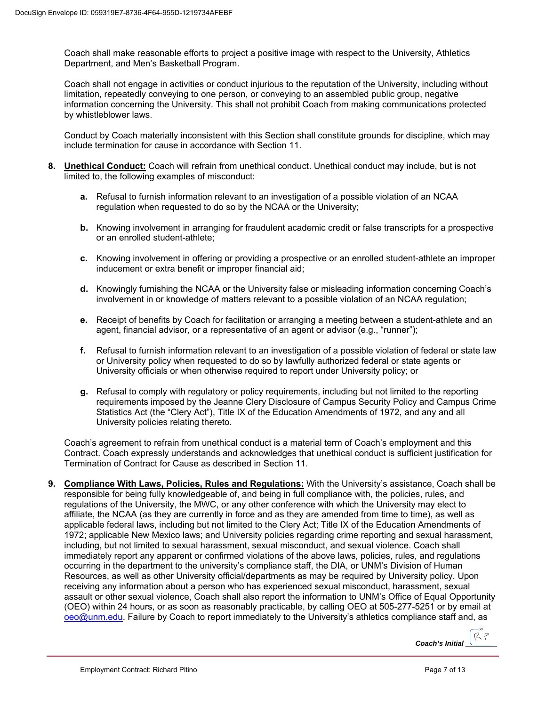Coach shall make reasonable efforts to project a positive image with respect to the University, Athletics Department, and Men's Basketball Program.

Coach shall not engage in activities or conduct injurious to the reputation of the University, including without limitation, repeatedly conveying to one person, or conveying to an assembled public group, negative information concerning the University. This shall not prohibit Coach from making communications protected by whistleblower laws.

Conduct by Coach materially inconsistent with this Section shall constitute grounds for discipline, which may include termination for cause in accordance with Section 11.

- **8. Unethical Conduct:** Coach will refrain from unethical conduct. Unethical conduct may include, but is not limited to, the following examples of misconduct:
	- **a.** Refusal to furnish information relevant to an investigation of a possible violation of an NCAA regulation when requested to do so by the NCAA or the University;
	- **b.** Knowing involvement in arranging for fraudulent academic credit or false transcripts for a prospective or an enrolled student-athlete;
	- **c.** Knowing involvement in offering or providing a prospective or an enrolled student-athlete an improper inducement or extra benefit or improper financial aid;
	- **d.** Knowingly furnishing the NCAA or the University false or misleading information concerning Coach's involvement in or knowledge of matters relevant to a possible violation of an NCAA regulation;
	- **e.** Receipt of benefits by Coach for facilitation or arranging a meeting between a student-athlete and an agent, financial advisor, or a representative of an agent or advisor (e.g., "runner");
	- **f.** Refusal to furnish information relevant to an investigation of a possible violation of federal or state law or University policy when requested to do so by lawfully authorized federal or state agents or University officials or when otherwise required to report under University policy; or
	- **g.** Refusal to comply with regulatory or policy requirements, including but not limited to the reporting requirements imposed by the Jeanne Clery Disclosure of Campus Security Policy and Campus Crime Statistics Act (the "Clery Act"), Title IX of the Education Amendments of 1972, and any and all University policies relating thereto.

Coach's agreement to refrain from unethical conduct is a material term of Coach's employment and this Contract. Coach expressly understands and acknowledges that unethical conduct is sufficient justification for Termination of Contract for Cause as described in Section 11.

**9. Compliance With Laws, Policies, Rules and Regulations:** With the University's assistance, Coach shall be responsible for being fully knowledgeable of, and being in full compliance with, the policies, rules, and regulations of the University, the MWC, or any other conference with which the University may elect to affiliate, the NCAA (as they are currently in force and as they are amended from time to time), as well as applicable federal laws, including but not limited to the Clery Act; Title IX of the Education Amendments of 1972; applicable New Mexico laws; and University policies regarding crime reporting and sexual harassment, including, but not limited to sexual harassment, sexual misconduct, and sexual violence. Coach shall immediately report any apparent or confirmed violations of the above laws, policies, rules, and regulations occurring in the department to the university's compliance staff, the DIA, or UNM's Division of Human Resources, as well as other University official/departments as may be required by University policy. Upon receiving any information about a person who has experienced sexual misconduct, harassment, sexual assault or other sexual violence, Coach shall also report the information to UNM's Office of Equal Opportunity (OEO) within 24 hours, or as soon as reasonably practicable, by calling OEO at 505-277-5251 or by email at oeo@unm.edu. Failure by Coach to report immediately to the University's athletics compliance staff and, as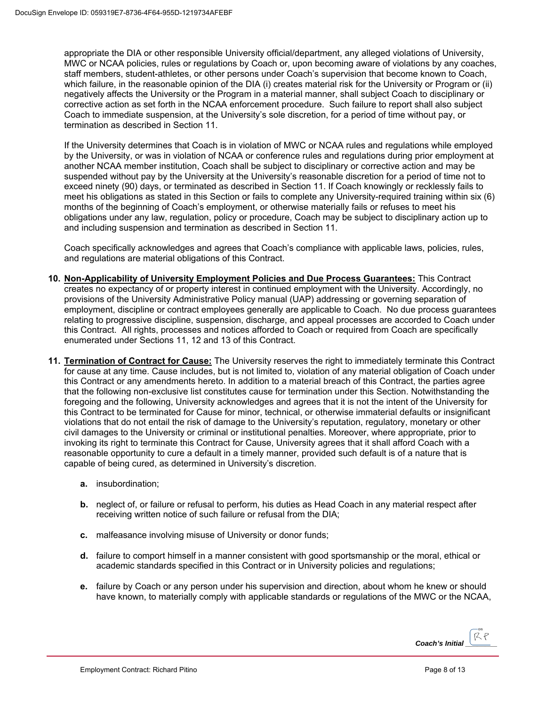appropriate the DIA or other responsible University official/department, any alleged violations of University, MWC or NCAA policies, rules or regulations by Coach or, upon becoming aware of violations by any coaches, staff members, student-athletes, or other persons under Coach's supervision that become known to Coach, which failure, in the reasonable opinion of the DIA (i) creates material risk for the University or Program or (ii) negatively affects the University or the Program in a material manner, shall subject Coach to disciplinary or corrective action as set forth in the NCAA enforcement procedure. Such failure to report shall also subject Coach to immediate suspension, at the University's sole discretion, for a period of time without pay, or termination as described in Section 11.

If the University determines that Coach is in violation of MWC or NCAA rules and regulations while employed by the University, or was in violation of NCAA or conference rules and regulations during prior employment at another NCAA member institution, Coach shall be subject to disciplinary or corrective action and may be suspended without pay by the University at the University's reasonable discretion for a period of time not to exceed ninety (90) days, or terminated as described in Section 11. If Coach knowingly or recklessly fails to meet his obligations as stated in this Section or fails to complete any University-required training within six (6) months of the beginning of Coach's employment, or otherwise materially fails or refuses to meet his obligations under any law, regulation, policy or procedure, Coach may be subject to disciplinary action up to and including suspension and termination as described in Section 11.

Coach specifically acknowledges and agrees that Coach's compliance with applicable laws, policies, rules, and regulations are material obligations of this Contract.

- **10. Non-Applicability of University Employment Policies and Due Process Guarantees:** This Contract creates no expectancy of or property interest in continued employment with the University. Accordingly, no provisions of the University Administrative Policy manual (UAP) addressing or governing separation of employment, discipline or contract employees generally are applicable to Coach. No due process guarantees relating to progressive discipline, suspension, discharge, and appeal processes are accorded to Coach under this Contract. All rights, processes and notices afforded to Coach or required from Coach are specifically enumerated under Sections 11, 12 and 13 of this Contract.
- **11. Termination of Contract for Cause:** The University reserves the right to immediately terminate this Contract for cause at any time. Cause includes, but is not limited to, violation of any material obligation of Coach under this Contract or any amendments hereto. In addition to a material breach of this Contract, the parties agree that the following non-exclusive list constitutes cause for termination under this Section. Notwithstanding the foregoing and the following, University acknowledges and agrees that it is not the intent of the University for this Contract to be terminated for Cause for minor, technical, or otherwise immaterial defaults or insignificant violations that do not entail the risk of damage to the University's reputation, regulatory, monetary or other civil damages to the University or criminal or institutional penalties. Moreover, where appropriate, prior to invoking its right to terminate this Contract for Cause, University agrees that it shall afford Coach with a reasonable opportunity to cure a default in a timely manner, provided such default is of a nature that is capable of being cured, as determined in University's discretion.
	- **a.** insubordination;
	- **b.** neglect of, or failure or refusal to perform, his duties as Head Coach in any material respect after receiving written notice of such failure or refusal from the DIA;
	- **c.** malfeasance involving misuse of University or donor funds;
	- **d.** failure to comport himself in a manner consistent with good sportsmanship or the moral, ethical or academic standards specified in this Contract or in University policies and regulations;
	- **e.** failure by Coach or any person under his supervision and direction, about whom he knew or should have known, to materially comply with applicable standards or regulations of the MWC or the NCAA,

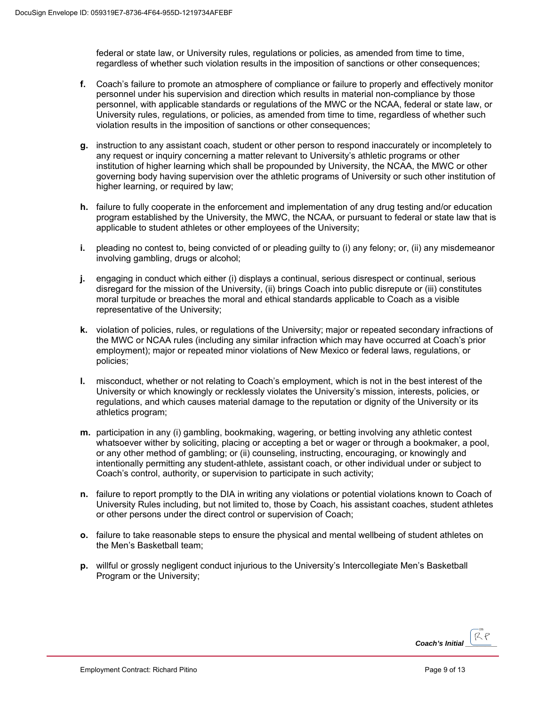federal or state law, or University rules, regulations or policies, as amended from time to time, regardless of whether such violation results in the imposition of sanctions or other consequences;

- **f.** Coach's failure to promote an atmosphere of compliance or failure to properly and effectively monitor personnel under his supervision and direction which results in material non-compliance by those personnel, with applicable standards or regulations of the MWC or the NCAA, federal or state law, or University rules, regulations, or policies, as amended from time to time, regardless of whether such violation results in the imposition of sanctions or other consequences;
- **g.** instruction to any assistant coach, student or other person to respond inaccurately or incompletely to any request or inquiry concerning a matter relevant to University's athletic programs or other institution of higher learning which shall be propounded by University, the NCAA, the MWC or other governing body having supervision over the athletic programs of University or such other institution of higher learning, or required by law;
- **h.** failure to fully cooperate in the enforcement and implementation of any drug testing and/or education program established by the University, the MWC, the NCAA, or pursuant to federal or state law that is applicable to student athletes or other employees of the University;
- **i.** pleading no contest to, being convicted of or pleading guilty to (i) any felony; or, (ii) any misdemeanor involving gambling, drugs or alcohol;
- **j.** engaging in conduct which either (i) displays a continual, serious disrespect or continual, serious disregard for the mission of the University, (ii) brings Coach into public disrepute or (iii) constitutes moral turpitude or breaches the moral and ethical standards applicable to Coach as a visible representative of the University;
- **k.** violation of policies, rules, or regulations of the University; major or repeated secondary infractions of the MWC or NCAA rules (including any similar infraction which may have occurred at Coach's prior employment); major or repeated minor violations of New Mexico or federal laws, regulations, or policies;
- **l.** misconduct, whether or not relating to Coach's employment, which is not in the best interest of the University or which knowingly or recklessly violates the University's mission, interests, policies, or regulations, and which causes material damage to the reputation or dignity of the University or its athletics program;
- **m.** participation in any (i) gambling, bookmaking, wagering, or betting involving any athletic contest whatsoever wither by soliciting, placing or accepting a bet or wager or through a bookmaker, a pool, or any other method of gambling; or (ii) counseling, instructing, encouraging, or knowingly and intentionally permitting any student-athlete, assistant coach, or other individual under or subject to Coach's control, authority, or supervision to participate in such activity;
- **n.** failure to report promptly to the DIA in writing any violations or potential violations known to Coach of University Rules including, but not limited to, those by Coach, his assistant coaches, student athletes or other persons under the direct control or supervision of Coach;
- **o.** failure to take reasonable steps to ensure the physical and mental wellbeing of student athletes on the Men's Basketball team;
- **p.** willful or grossly negligent conduct injurious to the University's Intercollegiate Men's Basketball Program or the University;

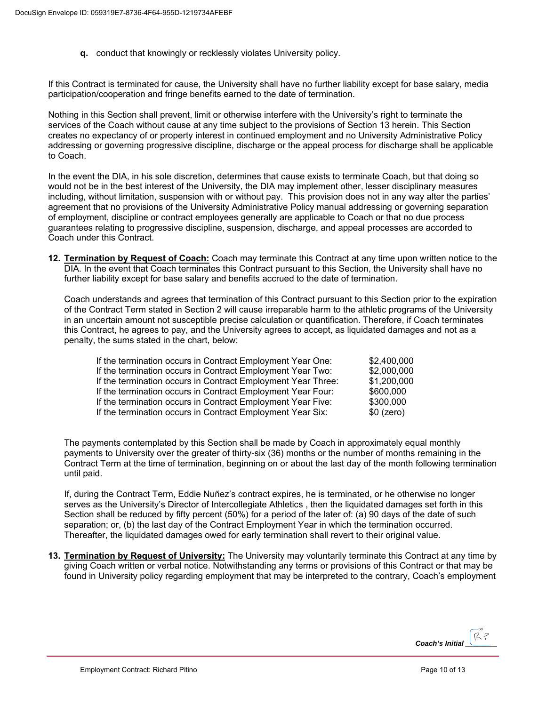**q.** conduct that knowingly or recklessly violates University policy.

If this Contract is terminated for cause, the University shall have no further liability except for base salary, media participation/cooperation and fringe benefits earned to the date of termination.

Nothing in this Section shall prevent, limit or otherwise interfere with the University's right to terminate the services of the Coach without cause at any time subject to the provisions of Section 13 herein. This Section creates no expectancy of or property interest in continued employment and no University Administrative Policy addressing or governing progressive discipline, discharge or the appeal process for discharge shall be applicable to Coach.

In the event the DIA, in his sole discretion, determines that cause exists to terminate Coach, but that doing so would not be in the best interest of the University, the DIA may implement other, lesser disciplinary measures including, without limitation, suspension with or without pay. This provision does not in any way alter the parties' agreement that no provisions of the University Administrative Policy manual addressing or governing separation of employment, discipline or contract employees generally are applicable to Coach or that no due process guarantees relating to progressive discipline, suspension, discharge, and appeal processes are accorded to Coach under this Contract.

**12. Termination by Request of Coach:** Coach may terminate this Contract at any time upon written notice to the DIA. In the event that Coach terminates this Contract pursuant to this Section, the University shall have no further liability except for base salary and benefits accrued to the date of termination.

Coach understands and agrees that termination of this Contract pursuant to this Section prior to the expiration of the Contract Term stated in Section 2 will cause irreparable harm to the athletic programs of the University in an uncertain amount not susceptible precise calculation or quantification. Therefore, if Coach terminates this Contract, he agrees to pay, and the University agrees to accept, as liquidated damages and not as a penalty, the sums stated in the chart, below:

| If the termination occurs in Contract Employment Year One:   | \$2,400,000 |
|--------------------------------------------------------------|-------------|
| If the termination occurs in Contract Employment Year Two:   | \$2,000,000 |
| If the termination occurs in Contract Employment Year Three: | \$1,200,000 |
| If the termination occurs in Contract Employment Year Four:  | \$600,000   |
| If the termination occurs in Contract Employment Year Five:  | \$300,000   |
| If the termination occurs in Contract Employment Year Six:   | $$0$ (zero) |

The payments contemplated by this Section shall be made by Coach in approximately equal monthly payments to University over the greater of thirty-six (36) months or the number of months remaining in the Contract Term at the time of termination, beginning on or about the last day of the month following termination until paid.

If, during the Contract Term, Eddie Nuñez's contract expires, he is terminated, or he otherwise no longer serves as the University's Director of Intercollegiate Athletics , then the liquidated damages set forth in this Section shall be reduced by fifty percent (50%) for a period of the later of: (a) 90 days of the date of such separation; or, (b) the last day of the Contract Employment Year in which the termination occurred. Thereafter, the liquidated damages owed for early termination shall revert to their original value.

**13. Termination by Request of University:** The University may voluntarily terminate this Contract at any time by giving Coach written or verbal notice. Notwithstanding any terms or provisions of this Contract or that may be found in University policy regarding employment that may be interpreted to the contrary, Coach's employment

*Coach's Initial*  $\left[\begin{matrix} \mathcal{R} \mathcal{R} \end{matrix}\right]$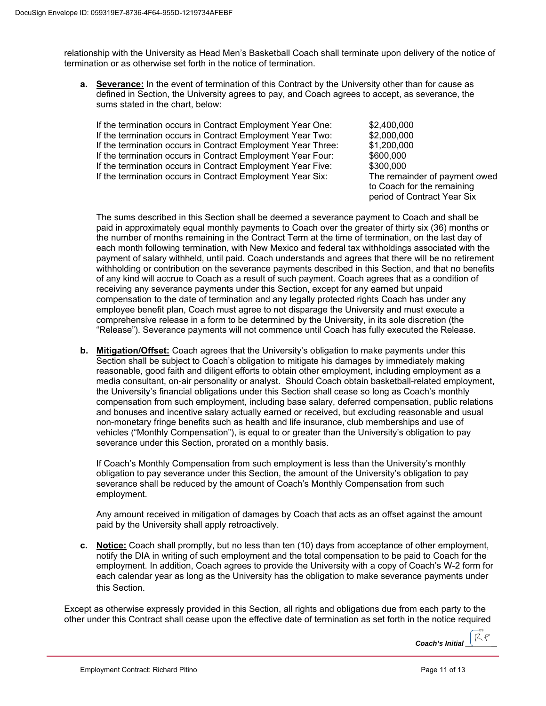relationship with the University as Head Men's Basketball Coach shall terminate upon delivery of the notice of termination or as otherwise set forth in the notice of termination.

**a. Severance:** In the event of termination of this Contract by the University other than for cause as defined in Section, the University agrees to pay, and Coach agrees to accept, as severance, the sums stated in the chart, below:

If the termination occurs in Contract Employment Year One: \$2,400,000 If the termination occurs in Contract Employment Year Two: \$2,000,000 If the termination occurs in Contract Employment Year Three: \$1,200,000 If the termination occurs in Contract Employment Year Four: \$600,000 If the termination occurs in Contract Employment Year Five: \$300,000 If the termination occurs in Contract Employment Year Six: The remainder of payment owed

to Coach for the remaining period of Contract Year Six

The sums described in this Section shall be deemed a severance payment to Coach and shall be paid in approximately equal monthly payments to Coach over the greater of thirty six (36) months or the number of months remaining in the Contract Term at the time of termination, on the last day of each month following termination, with New Mexico and federal tax withholdings associated with the payment of salary withheld, until paid. Coach understands and agrees that there will be no retirement withholding or contribution on the severance payments described in this Section, and that no benefits of any kind will accrue to Coach as a result of such payment. Coach agrees that as a condition of receiving any severance payments under this Section, except for any earned but unpaid compensation to the date of termination and any legally protected rights Coach has under any employee benefit plan, Coach must agree to not disparage the University and must execute a comprehensive release in a form to be determined by the University, in its sole discretion (the "Release"). Severance payments will not commence until Coach has fully executed the Release.

**b. Mitigation/Offset:** Coach agrees that the University's obligation to make payments under this Section shall be subject to Coach's obligation to mitigate his damages by immediately making reasonable, good faith and diligent efforts to obtain other employment, including employment as a media consultant, on-air personality or analyst. Should Coach obtain basketball-related employment, the University's financial obligations under this Section shall cease so long as Coach's monthly compensation from such employment, including base salary, deferred compensation, public relations and bonuses and incentive salary actually earned or received, but excluding reasonable and usual non-monetary fringe benefits such as health and life insurance, club memberships and use of vehicles ("Monthly Compensation"), is equal to or greater than the University's obligation to pay severance under this Section, prorated on a monthly basis.

If Coach's Monthly Compensation from such employment is less than the University's monthly obligation to pay severance under this Section, the amount of the University's obligation to pay severance shall be reduced by the amount of Coach's Monthly Compensation from such employment.

Any amount received in mitigation of damages by Coach that acts as an offset against the amount paid by the University shall apply retroactively.

**c. Notice:** Coach shall promptly, but no less than ten (10) days from acceptance of other employment, notify the DIA in writing of such employment and the total compensation to be paid to Coach for the employment. In addition, Coach agrees to provide the University with a copy of Coach's W-2 form for each calendar year as long as the University has the obligation to make severance payments under this Section.

Except as otherwise expressly provided in this Section, all rights and obligations due from each party to the other under this Contract shall cease upon the effective date of termination as set forth in the notice required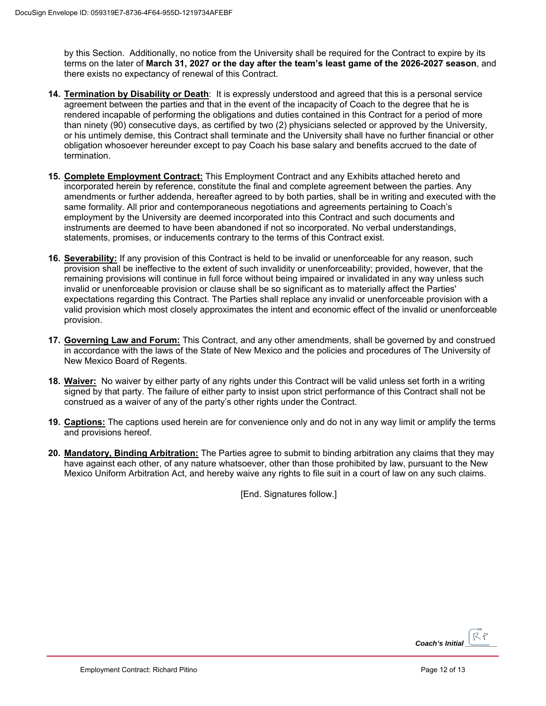by this Section. Additionally, no notice from the University shall be required for the Contract to expire by its terms on the later of **March 31, 2027 or the day after the team's least game of the 2026-2027 season**, and there exists no expectancy of renewal of this Contract.

- **14. Termination by Disability or Death**: It is expressly understood and agreed that this is a personal service agreement between the parties and that in the event of the incapacity of Coach to the degree that he is rendered incapable of performing the obligations and duties contained in this Contract for a period of more than ninety (90) consecutive days, as certified by two (2) physicians selected or approved by the University, or his untimely demise, this Contract shall terminate and the University shall have no further financial or other obligation whosoever hereunder except to pay Coach his base salary and benefits accrued to the date of termination.
- **15. Complete Employment Contract:** This Employment Contract and any Exhibits attached hereto and incorporated herein by reference, constitute the final and complete agreement between the parties. Any amendments or further addenda, hereafter agreed to by both parties, shall be in writing and executed with the same formality. All prior and contemporaneous negotiations and agreements pertaining to Coach's employment by the University are deemed incorporated into this Contract and such documents and instruments are deemed to have been abandoned if not so incorporated. No verbal understandings, statements, promises, or inducements contrary to the terms of this Contract exist.
- **16. Severability:** If any provision of this Contract is held to be invalid or unenforceable for any reason, such provision shall be ineffective to the extent of such invalidity or unenforceability; provided, however, that the remaining provisions will continue in full force without being impaired or invalidated in any way unless such invalid or unenforceable provision or clause shall be so significant as to materially affect the Parties' expectations regarding this Contract. The Parties shall replace any invalid or unenforceable provision with a valid provision which most closely approximates the intent and economic effect of the invalid or unenforceable provision.
- **17. Governing Law and Forum:** This Contract, and any other amendments, shall be governed by and construed in accordance with the laws of the State of New Mexico and the policies and procedures of The University of New Mexico Board of Regents.
- **18. Waiver:** No waiver by either party of any rights under this Contract will be valid unless set forth in a writing signed by that party. The failure of either party to insist upon strict performance of this Contract shall not be construed as a waiver of any of the party's other rights under the Contract.
- **19. Captions:** The captions used herein are for convenience only and do not in any way limit or amplify the terms and provisions hereof.
- **20. Mandatory, Binding Arbitration:** The Parties agree to submit to binding arbitration any claims that they may have against each other, of any nature whatsoever, other than those prohibited by law, pursuant to the New Mexico Uniform Arbitration Act, and hereby waive any rights to file suit in a court of law on any such claims.

[End. Signatures follow.]